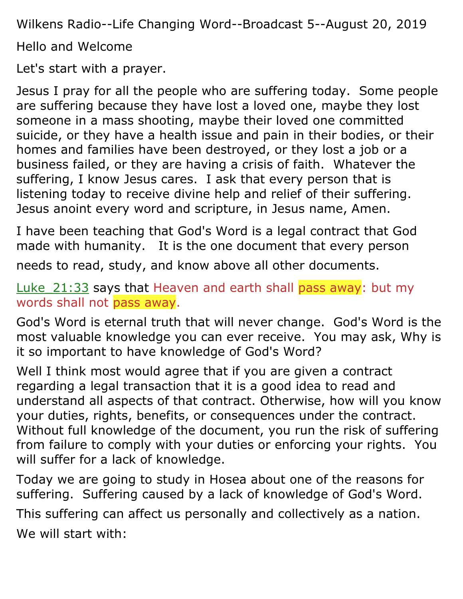Wilkens Radio--Life Changing Word--Broadcast 5--August 20, 2019

Hello and Welcome

Let's start with a prayer.

Jesus I pray for all the people who are suffering today. Some people are suffering because they have lost a loved one, maybe they lost someone in a mass shooting, maybe their loved one committed suicide, or they have a health issue and pain in their bodies, or their homes and families have been destroyed, or they lost a job or a business failed, or they are having a crisis of faith. Whatever the suffering, I know Jesus cares. I ask that every person that is listening today to receive divine help and relief of their suffering. Jesus anoint every word and scripture, in Jesus name, Amen.

I have been teaching that God's Word is a legal contract that God made with humanity. It is the one document that every person

needs to read, study, and know above all other documents.

Luke\_21:33 says that Heaven and earth shall pass away: but my words shall not pass away.

God's Word is eternal truth that will never change. God's Word is the most valuable knowledge you can ever receive. You may ask, Why is it so important to have knowledge of God's Word?

Well I think most would agree that if you are given a contract regarding a legal transaction that it is a good idea to read and understand all aspects of that contract. Otherwise, how will you know your duties, rights, benefits, or consequences under the contract. Without full knowledge of the document, you run the risk of suffering from failure to comply with your duties or enforcing your rights. You will suffer for a lack of knowledge.

Today we are going to study in Hosea about one of the reasons for suffering. Suffering caused by a lack of knowledge of God's Word.

This suffering can affect us personally and collectively as a nation. We will start with: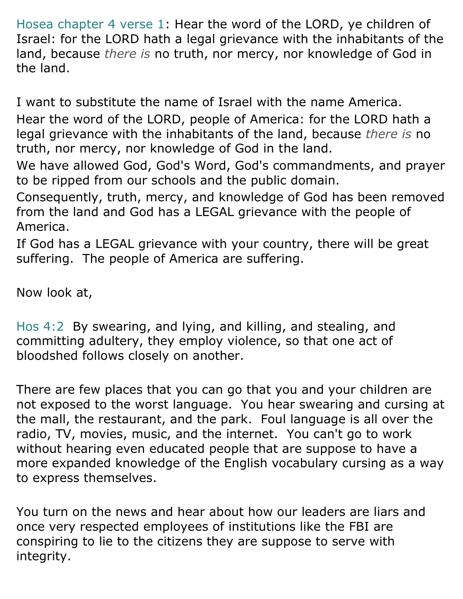Hosea chapter 4 verse 1: Hear the word of the LORD, ye children of Israel: for the LORD hath a legal grievance with the inhabitants of the land, because *there is* no truth, nor mercy, nor knowledge of God in the land.

I want to substitute the name of Israel with the name America. Hear the word of the LORD, people of America: for the LORD hath a legal grievance with the inhabitants of the land, because *there is* no truth, nor mercy, nor knowledge of God in the land.

We have allowed God, God's Word, God's commandments, and prayer to be ripped from our schools and the public domain.

Consequently, truth, mercy, and knowledge of God has been removed from the land and God has a LEGAL grievance with the people of America.

If God has a LEGAL grievance with your country, there will be great suffering. The people of America are suffering.

Now look at,

Hos 4:2 By swearing, and lying, and killing, and stealing, and committing adultery, they employ violence, so that one act of bloodshed follows closely on another.

There are few places that you can go that you and your children are not exposed to the worst language. You hear swearing and cursing at the mall, the restaurant, and the park. Foul language is all over the radio, TV, movies, music, and the internet. You can't go to work without hearing even educated people that are suppose to have a more expanded knowledge of the English vocabulary cursing as a way to express themselves.

You turn on the news and hear about how our leaders are liars and once very respected employees of institutions like the FBI are conspiring to lie to the citizens they are suppose to serve with integrity.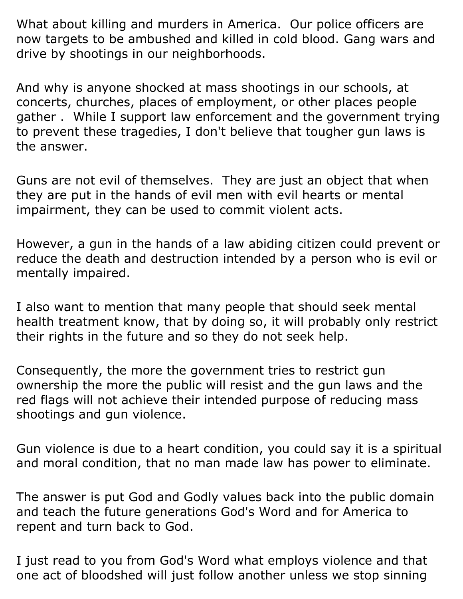What about killing and murders in America. Our police officers are now targets to be ambushed and killed in cold blood. Gang wars and drive by shootings in our neighborhoods.

And why is anyone shocked at mass shootings in our schools, at concerts, churches, places of employment, or other places people gather . While I support law enforcement and the government trying to prevent these tragedies, I don't believe that tougher gun laws is the answer.

Guns are not evil of themselves. They are just an object that when they are put in the hands of evil men with evil hearts or mental impairment, they can be used to commit violent acts.

However, a gun in the hands of a law abiding citizen could prevent or reduce the death and destruction intended by a person who is evil or mentally impaired.

I also want to mention that many people that should seek mental health treatment know, that by doing so, it will probably only restrict their rights in the future and so they do not seek help.

Consequently, the more the government tries to restrict gun ownership the more the public will resist and the gun laws and the red flags will not achieve their intended purpose of reducing mass shootings and gun violence.

Gun violence is due to a heart condition, you could say it is a spiritual and moral condition, that no man made law has power to eliminate.

The answer is put God and Godly values back into the public domain and teach the future generations God's Word and for America to repent and turn back to God.

I just read to you from God's Word what employs violence and that one act of bloodshed will just follow another unless we stop sinning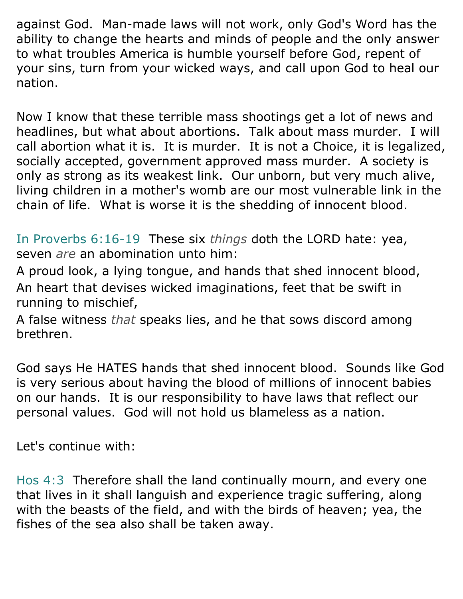against God. Man-made laws will not work, only God's Word has the ability to change the hearts and minds of people and the only answer to what troubles America is humble yourself before God, repent of your sins, turn from your wicked ways, and call upon God to heal our nation.

Now I know that these terrible mass shootings get a lot of news and headlines, but what about abortions. Talk about mass murder. I will call abortion what it is. It is murder. It is not a Choice, it is legalized, socially accepted, government approved mass murder. A society is only as strong as its weakest link. Our unborn, but very much alive, living children in a mother's womb are our most vulnerable link in the chain of life. What is worse it is the shedding of innocent blood.

In Proverbs 6:16-19 These six *things* doth the LORD hate: yea, seven *are* an abomination unto him:

A proud look, a lying tongue, and hands that shed innocent blood, An heart that devises wicked imaginations, feet that be swift in running to mischief,

A false witness *that* speaks lies, and he that sows discord among brethren.

God says He HATES hands that shed innocent blood. Sounds like God is very serious about having the blood of millions of innocent babies on our hands. It is our responsibility to have laws that reflect our personal values. God will not hold us blameless as a nation.

Let's continue with:

Hos 4:3 Therefore shall the land continually mourn, and every one that lives in it shall languish and experience tragic suffering, along with the beasts of the field, and with the birds of heaven; yea, the fishes of the sea also shall be taken away.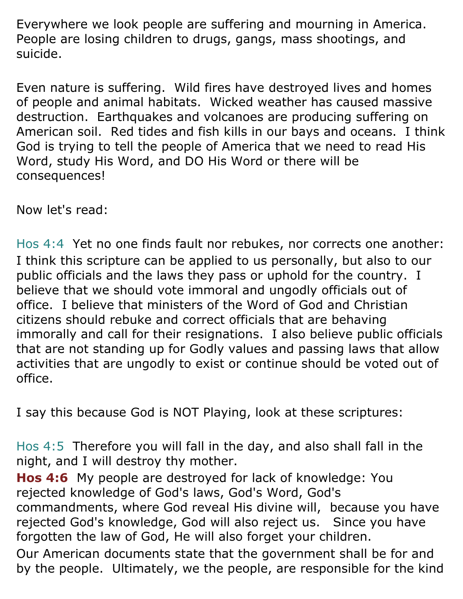Everywhere we look people are suffering and mourning in America. People are losing children to drugs, gangs, mass shootings, and suicide.

Even nature is suffering. Wild fires have destroyed lives and homes of people and animal habitats. Wicked weather has caused massive destruction. Earthquakes and volcanoes are producing suffering on American soil. Red tides and fish kills in our bays and oceans. I think God is trying to tell the people of America that we need to read His Word, study His Word, and DO His Word or there will be consequences!

Now let's read:

Hos 4:4 Yet no one finds fault nor rebukes, nor corrects one another: I think this scripture can be applied to us personally, but also to our public officials and the laws they pass or uphold for the country. I believe that we should vote immoral and ungodly officials out of office. I believe that ministers of the Word of God and Christian citizens should rebuke and correct officials that are behaving immorally and call for their resignations. I also believe public officials that are not standing up for Godly values and passing laws that allow activities that are ungodly to exist or continue should be voted out of office.

I say this because God is NOT Playing, look at these scriptures:

Hos 4:5 Therefore you will fall in the day, and also shall fall in the night, and I will destroy thy mother.

**Hos 4:6** My people are destroyed for lack of knowledge: You rejected knowledge of God's laws, God's Word, God's commandments, where God reveal His divine will, because you have rejected God's knowledge, God will also reject us. Since you have forgotten the law of God, He will also forget your children.

Our American documents state that the government shall be for and by the people. Ultimately, we the people, are responsible for the kind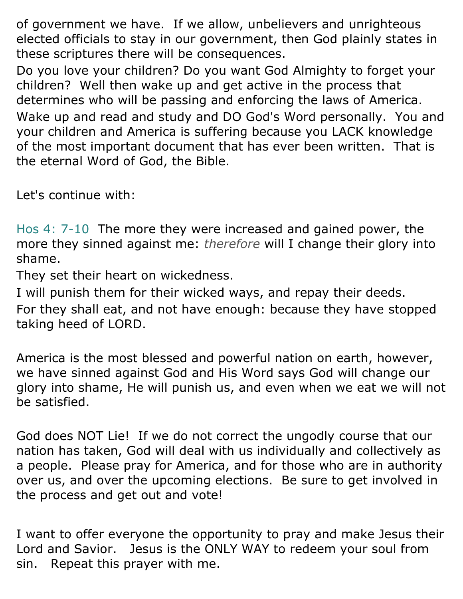of government we have. If we allow, unbelievers and unrighteous elected officials to stay in our government, then God plainly states in these scriptures there will be consequences.

Do you love your children? Do you want God Almighty to forget your children? Well then wake up and get active in the process that determines who will be passing and enforcing the laws of America. Wake up and read and study and DO God's Word personally. You and your children and America is suffering because you LACK knowledge of the most important document that has ever been written. That is the eternal Word of God, the Bible.

Let's continue with:

Hos 4: 7-10 The more they were increased and gained power, the more they sinned against me: *therefore* will I change their glory into shame.

They set their heart on wickedness.

I will punish them for their wicked ways, and repay their deeds.

For they shall eat, and not have enough: because they have stopped taking heed of LORD.

America is the most blessed and powerful nation on earth, however, we have sinned against God and His Word says God will change our glory into shame, He will punish us, and even when we eat we will not be satisfied.

God does NOT Lie! If we do not correct the ungodly course that our nation has taken, God will deal with us individually and collectively as a people. Please pray for America, and for those who are in authority over us, and over the upcoming elections. Be sure to get involved in the process and get out and vote!

I want to offer everyone the opportunity to pray and make Jesus their Lord and Savior. Jesus is the ONLY WAY to redeem your soul from sin. Repeat this prayer with me.